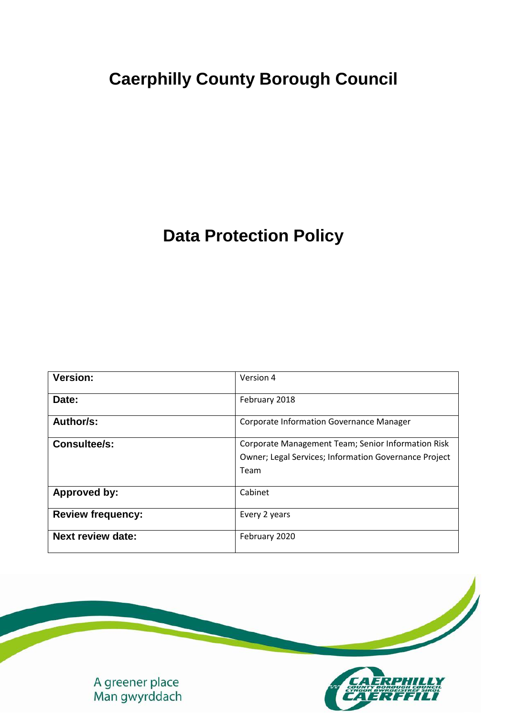# **Caerphilly County Borough Council**

## **Data Protection Policy**

| <b>Version:</b>          | Version 4                                                                                                           |
|--------------------------|---------------------------------------------------------------------------------------------------------------------|
| Date:                    | February 2018                                                                                                       |
| Author/s:                | <b>Corporate Information Governance Manager</b>                                                                     |
| <b>Consultee/s:</b>      | Corporate Management Team; Senior Information Risk<br>Owner; Legal Services; Information Governance Project<br>Team |
| <b>Approved by:</b>      | Cabinet                                                                                                             |
| <b>Review frequency:</b> | Every 2 years                                                                                                       |
| <b>Next review date:</b> | February 2020                                                                                                       |

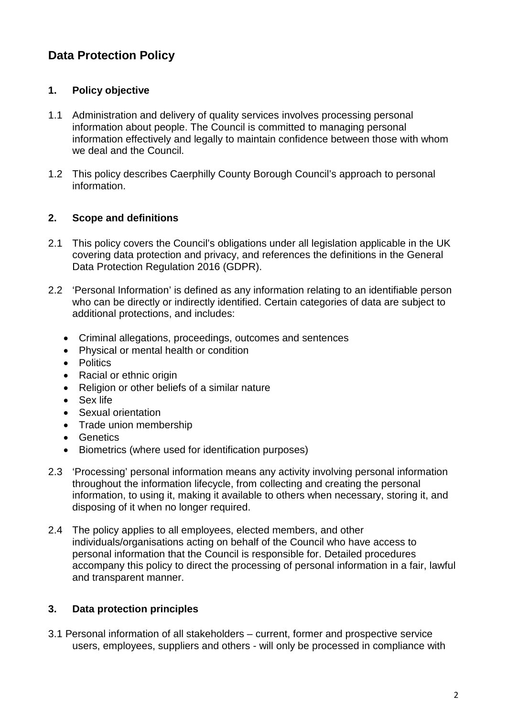### **Data Protection Policy**

#### **1. Policy objective**

- 1.1 Administration and delivery of quality services involves processing personal information about people. The Council is committed to managing personal information effectively and legally to maintain confidence between those with whom we deal and the Council.
- 1.2 This policy describes Caerphilly County Borough Council's approach to personal information.

#### **2. Scope and definitions**

- 2.1 This policy covers the Council's obligations under all legislation applicable in the UK covering data protection and privacy, and references the definitions in the General Data Protection Regulation 2016 (GDPR).
- 2.2 'Personal Information' is defined as any information relating to an identifiable person who can be directly or indirectly identified. Certain categories of data are subject to additional protections, and includes:
	- Criminal allegations, proceedings, outcomes and sentences
	- Physical or mental health or condition
	- Politics
	- Racial or ethnic origin
	- Religion or other beliefs of a similar nature
	- Sex life
	- Sexual orientation
	- Trade union membership
	- Genetics
	- Biometrics (where used for identification purposes)
- 2.3 'Processing' personal information means any activity involving personal information throughout the information lifecycle, from collecting and creating the personal information, to using it, making it available to others when necessary, storing it, and disposing of it when no longer required.
- 2.4 The policy applies to all employees, elected members, and other individuals/organisations acting on behalf of the Council who have access to personal information that the Council is responsible for. Detailed procedures accompany this policy to direct the processing of personal information in a fair, lawful and transparent manner.

#### **3. Data protection principles**

3.1 Personal information of all stakeholders – current, former and prospective service users, employees, suppliers and others - will only be processed in compliance with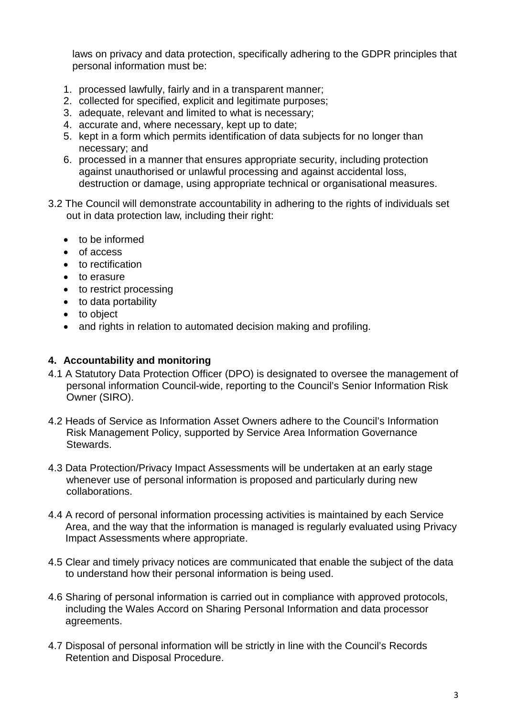laws on privacy and data protection, specifically adhering to the GDPR principles that personal information must be:

- 1. processed lawfully, fairly and in a transparent manner;
- 2. collected for specified, explicit and legitimate purposes;
- 3. adequate, relevant and limited to what is necessary;
- 4. accurate and, where necessary, kept up to date;
- 5. kept in a form which permits identification of data subjects for no longer than necessary; and
- 6. processed in a manner that ensures appropriate security, including protection against unauthorised or unlawful processing and against accidental loss, destruction or damage, using appropriate technical or organisational measures.
- 3.2 The Council will demonstrate accountability in adhering to the rights of individuals set out in data protection law, including their right:
	- to be informed
	- of access
	- to rectification
	- to erasure
	- to restrict processing
	- to data portability
	- to object
	- and rights in relation to automated decision making and profiling.

#### **4. Accountability and monitoring**

- 4.1 A Statutory Data Protection Officer (DPO) is designated to oversee the management of personal information Council-wide, reporting to the Council's Senior Information Risk Owner (SIRO).
- 4.2 Heads of Service as Information Asset Owners adhere to the Council's Information Risk Management Policy, supported by Service Area Information Governance Stewards.
- 4.3 Data Protection/Privacy Impact Assessments will be undertaken at an early stage whenever use of personal information is proposed and particularly during new collaborations.
- 4.4 A record of personal information processing activities is maintained by each Service Area, and the way that the information is managed is regularly evaluated using Privacy Impact Assessments where appropriate.
- 4.5 Clear and timely privacy notices are communicated that enable the subject of the data to understand how their personal information is being used.
- 4.6 Sharing of personal information is carried out in compliance with approved protocols, including the Wales Accord on Sharing Personal Information and data processor agreements.
- 4.7 Disposal of personal information will be strictly in line with the Council's Records Retention and Disposal Procedure.